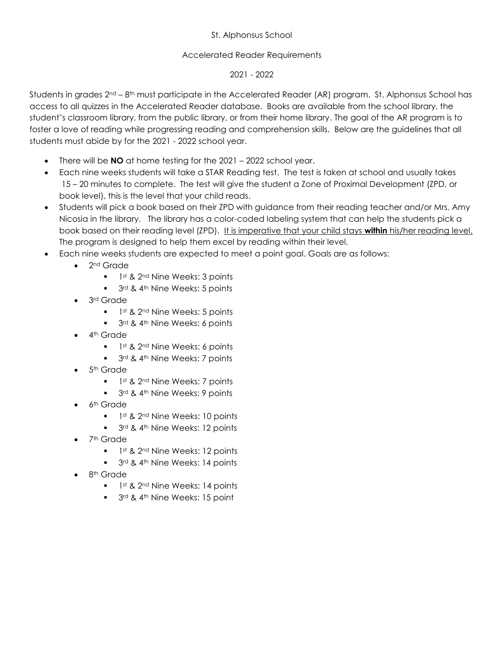## St. Alphonsus School

## Accelerated Reader Requirements

## 2021 - 2022

Students in grades 2<sup>nd</sup> – 8<sup>th</sup> must participate in the Accelerated Reader (AR) program. St. Alphonsus School has access to all quizzes in the Accelerated Reader database. Books are available from the school library, the student's classroom library, from the public library, or from their home library. The goal of the AR program is to foster a love of reading while progressing reading and comprehension skills. Below are the guidelines that all students must abide by for the 2021 - 2022 school year.

- There will be **NO** at home testing for the 2021 2022 school year.
- Each nine weeks students will take a STAR Reading test. The test is taken at school and usually takes 15 – 20 minutes to complete. The test will give the student a Zone of Proximal Development (ZPD, or book level), this is the level that your child reads.
- Students will pick a book based on their ZPD with guidance from their reading teacher and/or Mrs. Amy Nicosia in the library. The library has a color-coded labeling system that can help the students pick a book based on their reading level (ZPD). It is imperative that your child stays **within** his/her reading level. The program is designed to help them excel by reading within their level.
- Each nine weeks students are expected to meet a point goal. Goals are as follows:
	- 2<sup>nd</sup> Grade
		- $1$ st &  $2<sup>nd</sup>$  Nine Weeks: 3 points
		- **3rd & 4th Nine Weeks: 5 points**
	- 3<sup>rd</sup> Grade
		- $1$ st & 2<sup>nd</sup> Nine Weeks: 5 points
		- $\blacksquare$  3<sup>rd</sup> & 4<sup>th</sup> Nine Weeks: 6 points
	- 4<sup>th</sup> Grade
		- $\blacksquare$  1st & 2nd Nine Weeks: 6 points
		- $\blacksquare$  3<sup>rd</sup> & 4<sup>th</sup> Nine Weeks: 7 points
	- $\bullet$  5<sup>th</sup> Grade
		- **1st & 2nd Nine Weeks: 7 points**
		- $\blacksquare$  3<sup>rd</sup> & 4<sup>th</sup> Nine Weeks: 9 points
	- 6<sup>th</sup> Grade
		- $1$ st &  $2<sup>nd</sup>$  Nine Weeks: 10 points
		- $\blacksquare$  3rd & 4<sup>th</sup> Nine Weeks: 12 points
	- 7<sup>th</sup> Grade
		- $1$ <sup>st</sup> & 2<sup>nd</sup> Nine Weeks: 12 points
		- 3rd & 4th Nine Weeks: 14 points
	- 8<sup>th</sup> Grade
		- $1$ st & 2<sup>nd</sup> Nine Weeks: 14 points
		- **3rd & 4th Nine Weeks: 15 point**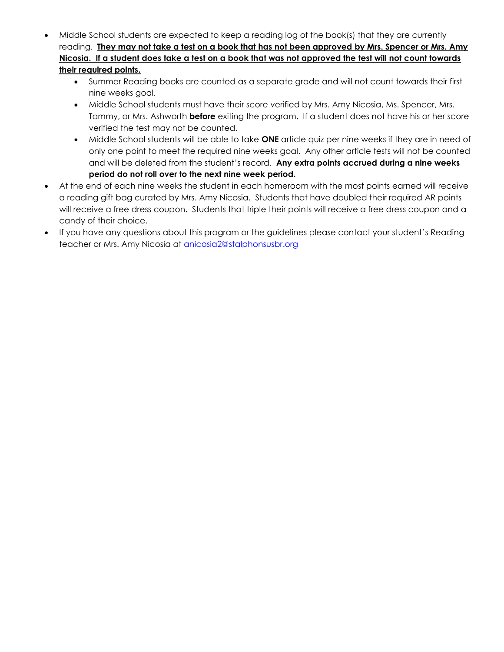- Middle School students are expected to keep a reading log of the book(s) that they are currently reading. **They may not take a test on a book that has not been approved by Mrs. Spencer or Mrs. Amy Nicosia. If a student does take a test on a book that was not approved the test will not count towards their required points.**
	- Summer Reading books are counted as a separate grade and will not count towards their first nine weeks goal.
	- Middle School students must have their score verified by Mrs. Amy Nicosia, Ms. Spencer, Mrs. Tammy, or Mrs. Ashworth **before** exiting the program. If a student does not have his or her score verified the test may not be counted.
	- Middle School students will be able to take **ONE** article quiz per nine weeks if they are in need of only one point to meet the required nine weeks goal. Any other article tests will not be counted and will be deleted from the student's record. **Any extra points accrued during a nine weeks period do not roll over to the next nine week period.**
- At the end of each nine weeks the student in each homeroom with the most points earned will receive a reading gift bag curated by Mrs. Amy Nicosia. Students that have doubled their required AR points will receive a free dress coupon. Students that triple their points will receive a free dress coupon and a candy of their choice.
- If you have any questions about this program or the guidelines please contact your student's Reading teacher or Mrs. Amy Nicosia at [anicosia2@stalphonsusbr.org](mailto:anicosia2@stalphonsusbr.org)